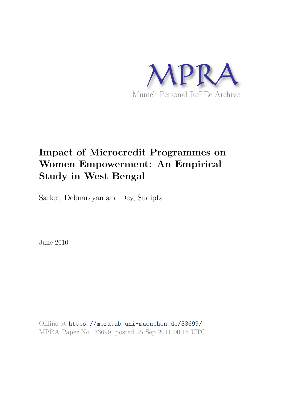

# **Impact of Microcredit Programmes on Women Empowerment: An Empirical Study in West Bengal**

Sarker, Debnarayan and Dey, Sudipta

June 2010

Online at https://mpra.ub.uni-muenchen.de/33699/ MPRA Paper No. 33699, posted 25 Sep 2011 00:16 UTC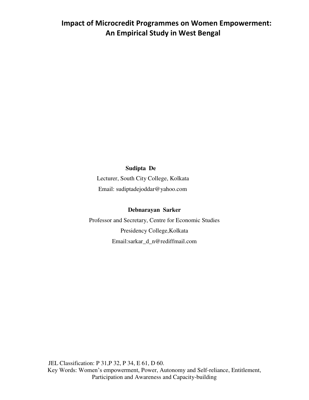# **Impact of Microcredit Programmes on Women Empowerment: An Empirical Study in West Bengal**

### **Sudipta De**

 Lecturer, South City College, Kolkata Email: sudiptadejoddar@yahoo.com

### **Debnarayan Sarker**

Professor and Secretary, Centre for Economic Studies Presidency College,Kolkata Email:sarkar\_d\_n@rediffmail.com

 JEL Classification: P 31,P 32, P 34, E 61, D 60. Key Words: Women"s empowerment, Power, Autonomy and Self-reliance, Entitlement, Participation and Awareness and Capacity-building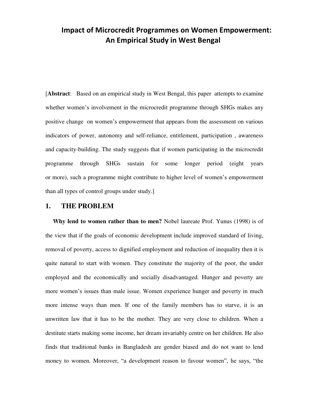# **Impact of Microcredit Programmes on Women Empowerment: An Empirical Study in West Bengal**

[**Abstract**: Based on an empirical study in West Bengal, this paper attempts to examine whether women's involvement in the microcredit programme through SHGs makes any positive change on women"s empowerment that appears from the assessment on various indicators of power, autonomy and self-reliance, entitlement, participation , awareness and capacity-building. The study suggests that if women participating in the microcredit programme through SHGs sustain for some longer period (eight years or more), such a programme might contribute to higher level of women"s empowerment than all types of control groups under study.]

### **1. THE PROBLEM**

 **Why lend to women rather than to men?** Nobel laureate Prof. Yunus (1998) is of the view that if the goals of economic development include improved standard of living, removal of poverty, access to dignified employment and reduction of inequality then it is quite natural to start with women. They constitute the majority of the poor, the under employed and the economically and socially disadvantaged. Hunger and poverty are more women's issues than male issue. Women experience hunger and poverty in much more intense ways than men. If one of the family members has to starve, it is an unwritten law that it has to be the mother. They are very close to children. When a destitute starts making some income, her dream invariably centre on her children. He also finds that traditional banks in Bangladesh are gender biased and do not want to lend money to women. Moreover, "a development reason to favour women", he says, "the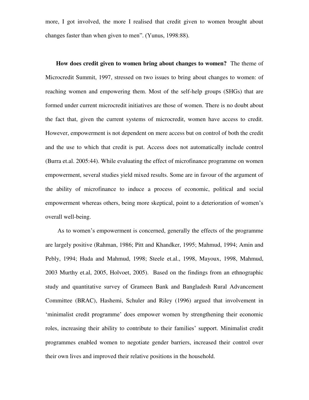more, I got involved, the more I realised that credit given to women brought about changes faster than when given to men". (Yunus, 1998:88).

 **How does credit given to women bring about changes to women?** The theme of Microcredit Summit, 1997, stressed on two issues to bring about changes to women: of reaching women and empowering them. Most of the self-help groups (SHGs) that are formed under current microcredit initiatives are those of women. There is no doubt about the fact that, given the current systems of microcredit, women have access to credit. However, empowerment is not dependent on mere access but on control of both the credit and the use to which that credit is put. Access does not automatically include control (Burra et.al. 2005:44). While evaluating the effect of microfinance programme on women empowerment, several studies yield mixed results. Some are in favour of the argument of the ability of microfinance to induce a process of economic, political and social empowerment whereas others, being more skeptical, point to a deterioration of women"s overall well-being.

As to women's empowerment is concerned, generally the effects of the programme are largely positive (Rahman, 1986; Pitt and Khandker, 1995; Mahmud, 1994; Amin and Pebly, 1994; Huda and Mahmud, 1998; Steele et.al., 1998, Mayoux, 1998, Mahmud, 2003 Murthy et.al, 2005, Holvoet, 2005). Based on the findings from an ethnographic study and quantitative survey of Grameen Bank and Bangladesh Rural Advancement Committee (BRAC), Hashemi, Schuler and Riley (1996) argued that involvement in 'minimalist credit programme' does empower women by strengthening their economic roles, increasing their ability to contribute to their families" support. Minimalist credit programmes enabled women to negotiate gender barriers, increased their control over their own lives and improved their relative positions in the household.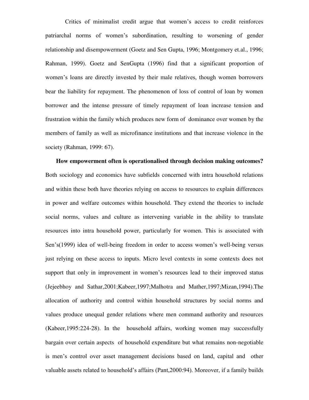Critics of minimalist credit argue that women"s access to credit reinforces patriarchal norms of women"s subordination, resulting to worsening of gender relationship and disempowerment (Goetz and Sen Gupta, 1996; Montgomery et.al., 1996; Rahman, 1999). Goetz and SenGupta (1996) find that a significant proportion of women"s loans are directly invested by their male relatives, though women borrowers bear the liability for repayment. The phenomenon of loss of control of loan by women borrower and the intense pressure of timely repayment of loan increase tension and frustration within the family which produces new form of dominance over women by the members of family as well as microfinance institutions and that increase violence in the society (Rahman, 1999: 67).

 **How empowerment often is operationalised through decision making outcomes?** Both sociology and economics have subfields concerned with intra household relations and within these both have theories relying on access to resources to explain differences in power and welfare outcomes within household. They extend the theories to include social norms, values and culture as intervening variable in the ability to translate resources into intra household power, particularly for women. This is associated with Sen's(1999) idea of well-being freedom in order to access women's well-being versus just relying on these access to inputs. Micro level contexts in some contexts does not support that only in improvement in women's resources lead to their improved status (Jejeebhoy and Sathar,2001;Kabeer,1997;Malhotra and Mather,1997;Mizan,1994).The allocation of authority and control within household structures by social norms and values produce unequal gender relations where men command authority and resources (Kabeer,1995:224-28). In the household affairs, working women may successfully bargain over certain aspects of household expenditure but what remains non-negotiable is men"s control over asset management decisions based on land, capital and other valuable assets related to household"s affairs (Pant,2000:94). Moreover, if a family builds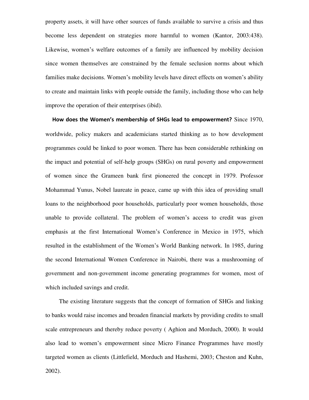property assets, it will have other sources of funds available to survive a crisis and thus become less dependent on strategies more harmful to women (Kantor, 2003:438). Likewise, women"s welfare outcomes of a family are influenced by mobility decision since women themselves are constrained by the female seclusion norms about which families make decisions. Women's mobility levels have direct effects on women's ability to create and maintain links with people outside the family, including those who can help improve the operation of their enterprises (ibid).

 **How does the Women's membership of SHGs lead to empowerment?** Since 1970, worldwide, policy makers and academicians started thinking as to how development programmes could be linked to poor women. There has been considerable rethinking on the impact and potential of self-help groups (SHGs) on rural poverty and empowerment of women since the Grameen bank first pioneered the concept in 1979. Professor Mohammad Yunus, Nobel laureate in peace, came up with this idea of providing small loans to the neighborhood poor households, particularly poor women households, those unable to provide collateral. The problem of women"s access to credit was given emphasis at the first International Women"s Conference in Mexico in 1975, which resulted in the establishment of the Women"s World Banking network. In 1985, during the second International Women Conference in Nairobi, there was a mushrooming of government and non-government income generating programmes for women, most of which included savings and credit.

 The existing literature suggests that the concept of formation of SHGs and linking to banks would raise incomes and broaden financial markets by providing credits to small scale entrepreneurs and thereby reduce poverty ( Aghion and Morduch, 2000). It would also lead to women"s empowerment since Micro Finance Programmes have mostly targeted women as clients (Littlefield, Morduch and Hashemi, 2003; Cheston and Kuhn, 2002).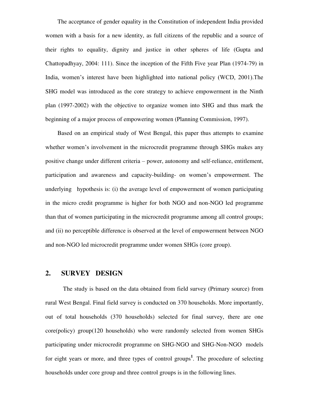The acceptance of gender equality in the Constitution of independent India provided women with a basis for a new identity, as full citizens of the republic and a source of their rights to equality, dignity and justice in other spheres of life (Gupta and Chattopadhyay, 2004: 111). Since the inception of the Fifth Five year Plan (1974-79) in India, women"s interest have been highlighted into national policy (WCD, 2001).The SHG model was introduced as the core strategy to achieve empowerment in the Ninth plan (1997-2002) with the objective to organize women into SHG and thus mark the beginning of a major process of empowering women (Planning Commission, 1997).

 Based on an empirical study of West Bengal, this paper thus attempts to examine whether women's involvement in the microcredit programme through SHGs makes any positive change under different criteria – power, autonomy and self-reliance, entitlement, participation and awareness and capacity-building- on women"s empowerment. The underlying hypothesis is: (i) the average level of empowerment of women participating in the micro credit programme is higher for both NGO and non-NGO led programme than that of women participating in the microcredit programme among all control groups; and (ii) no perceptible difference is observed at the level of empowerment between NGO and non-NGO led microcredit programme under women SHGs (core group).

### **2. SURVEY DESIGN**

 The study is based on the data obtained from field survey (Primary source) from rural West Bengal. Final field survey is conducted on 370 households. More importantly, out of total households (370 households) selected for final survey, there are one core(policy) group(120 households) who were randomly selected from women SHGs participating under microcredit programme on SHG-NGO and SHG-Non-NGO models for eight years or more, and three types of control groups**<sup>1</sup>** . The procedure of selecting households under core group and three control groups is in the following lines.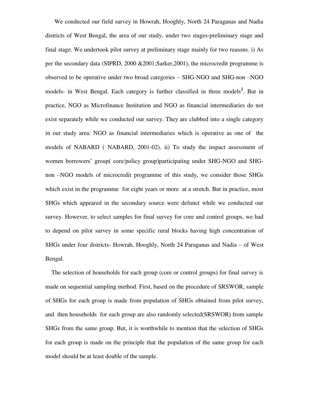We conducted our field survey in Howrah, Hooghly, North 24 Paraganas and Nadia districts of West Bengal, the area of our study, under two stages-preliminary stage and final stage. We undertook pilot survey at preliminary stage mainly for two reasons. i) As per the secondary data (SIPRD, 2000 &2001;Sarker,2001), the microcredit programme is observed to be operative under two broad categories – SHG-NGO and SHG-non –NGO models- in West Bengal. Each category is further classified in three models<sup>2</sup>. But in practice, NGO as Microfinance Institution and NGO as financial intermediaries do not exist separately while we conducted our survey. They are clubbed into a single category in our study area: NGO as financial intermediaries which is operative as one of the models of NABARD ( NABARD, 2001-02). ii) To study the impact assessment of women borrowers" group( core/policy group)participating under SHG-NGO and SHGnon –NGO models of microcredit programme of this study, we consider those SHGs which exist in the programme for eight years or more at a stretch. But in practice, most SHGs which appeared in the secondary source were defunct while we conducted our survey. However, to select samples for final survey for core and control groups, we had to depend on pilot survey in some specific rural blocks having high concentration of SHGs under four districts- Howrah, Hooghly, North 24 Paraganas and Nadia – of West Bengal.

 The selection of households for each group (core or control groups) for final survey is made on sequential sampling method. First, based on the procedure of SRSWOR, sample of SHGs for each group is made from population of SHGs obtained from pilot survey, and then households for each group are also randomly selected(SRSWOR) from sample SHGs from the same group. But, it is worthwhile to mention that the selection of SHGs for each group is made on the principle that the population of the same group for each model should be at least double of the sample.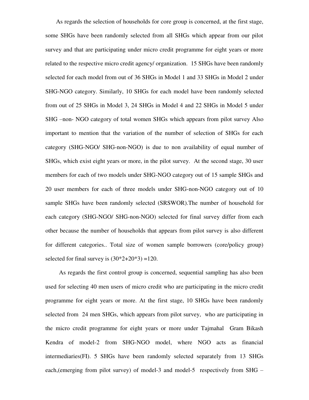As regards the selection of households for core group is concerned, at the first stage, some SHGs have been randomly selected from all SHGs which appear from our pilot survey and that are participating under micro credit programme for eight years or more related to the respective micro credit agency/ organization. 15 SHGs have been randomly selected for each model from out of 36 SHGs in Model 1 and 33 SHGs in Model 2 under SHG-NGO category. Similarly, 10 SHGs for each model have been randomly selected from out of 25 SHGs in Model 3, 24 SHGs in Model 4 and 22 SHGs in Model 5 under SHG –non- NGO category of total women SHGs which appears from pilot survey Also important to mention that the variation of the number of selection of SHGs for each category (SHG-NGO/ SHG-non-NGO) is due to non availability of equal number of SHGs, which exist eight years or more, in the pilot survey. At the second stage, 30 user members for each of two models under SHG-NGO category out of 15 sample SHGs and 20 user members for each of three models under SHG-non-NGO category out of 10 sample SHGs have been randomly selected (SRSWOR).The number of household for each category (SHG-NGO/ SHG-non-NGO) selected for final survey differ from each other because the number of households that appears from pilot survey is also different for different categories.. Total size of women sample borrowers (core/policy group) selected for final survey is  $(30*2+20*3) = 120$ .

 As regards the first control group is concerned, sequential sampling has also been used for selecting 40 men users of micro credit who are participating in the micro credit programme for eight years or more. At the first stage, 10 SHGs have been randomly selected from 24 men SHGs, which appears from pilot survey, who are participating in the micro credit programme for eight years or more under Tajmahal Gram Bikash Kendra of model-2 from SHG-NGO model, where NGO acts as financial intermediaries(FI). 5 SHGs have been randomly selected separately from 13 SHGs each,(emerging from pilot survey) of model-3 and model-5 respectively from SHG –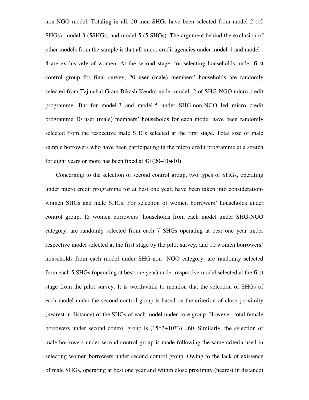non-NGO model. Totaling in all, 20 men SHGs have been selected from model-2 (10 SHGs), model-3 (5SHGs) and model-5 (5 SHGs). The argument behind the exclusion of other models from the sample is that all micro credit agencies under model-1 and model - 4 are exclusively of women. At the second stage, for selecting households under first control group for final survey, 20 user (male) members' households are randomly selected from Tajmahal Gram Bikash Kendra under model -2 of SHG-NGO micro credit programme. But for model-3 and model-5 under SHG-non-NGO led micro credit programme 10 user (male) members" households for each model have been randomly selected from the respective male SHGs selected at the first stage. Total size of male sample borrowers who have been participating in the micro credit programme at a stretch for eight years or more has been fixed at 40 (20+10+10).

 Concerning to the selection of second control group, two types of SHGs, operating under micro credit programme for at best one year, have been taken into considerationwomen SHGs and male SHGs. For selection of women borrowers' households under control group, 15 women borrowers" households from each model under SHG-NGO category, are randomly selected from each 7 SHGs operating at best one year under respective model selected at the first stage by the pilot survey, and 10 women borrowers' households from each model under SHG-non- NGO category, are randomly selected from each 5 SHGs (operating at best one year) under respective model selected at the first stage from the pilot survey. It is worthwhile to mention that the selection of SHGs of each model under the second control group is based on the criterion of close proximity (nearest in distance) of the SHGs of each model under core group. However, total female borrowers under second control group is  $(15*2+10*3)$  =60. Similarly, the selection of male borrowers under second control group is made following the same criteria used in selecting women borrowers under second control group. Owing to the lack of existence of male SHGs, operating at best one year and within close proximity (nearest in distance)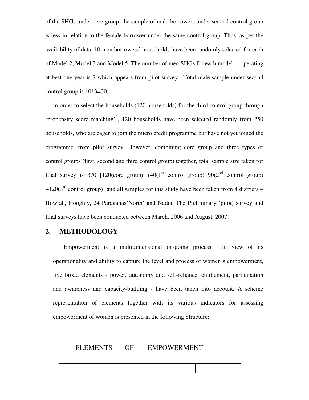of the SHGs under core group, the sample of male borrowers under second control group is less in relation to the female borrower under the same control group. Thus, as per the availability of data, 10 men borrowers" households have been randomly selected for each of Model 2, Model 3 and Model 5. The number of men SHGs for each model operating at best one year is 7 which appears from pilot survey. Total male sample under second control group is  $10*3=30$ .

 In order to select the households (120 households) for the third control group through 'propensity score matching<sup>3</sup>, 120 households have been selected randomly from 250 households, who are eager to join the micro credit programme but have not yet joined the programme, from pilot survey. However, combining core group and three types of control groups (first, second and third control group) together, total sample size taken for final survey is 370 [120(core group)  $+40(1<sup>st</sup> \text{ control group})+90(2<sup>nd</sup> \text{ control group})$  $+120(3<sup>rd</sup>$  control group)] and all samples for this study have been taken from 4 districts – Howrah, Hooghly, 24 Paraganas(North) and Nadia. The Preliminary (pilot) survey and final surveys have been conducted between March, 2006 and August, 2007.

### **2. METHODOLOGY**

 Empowerment is a multidimensional on-going process. In view of its operationality and ability to capture the level and process of women"s empowerment, five broad elements - power, autonomy and self-reliance, entitlement, participation and awareness and capacity-building - have been taken into account. A scheme representation of elements together with its various indicators for assessing empowerment of women is presented in the following Structure:

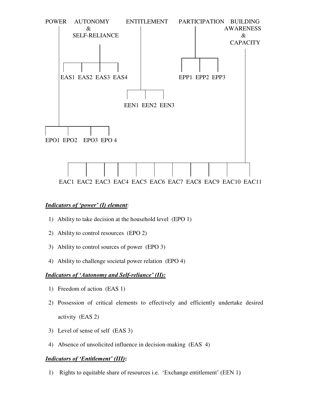

### *Indicators of 'power' (I) element*:

- 1) Ability to take decision at the household level (EPO 1)
- 2) Ability to control resources (EPO 2)
- 3) Ability to control sources of power (EPO 3)
- 4) Ability to challenge societal power relation (EPO 4)

### *Indicators of 'Autonomy and Self-reliance' (II):*

- 1) Freedom of action (EAS 1)
- 2) Possession of critical elements to effectively and efficiently undertake desired activity (EAS 2)
- 3) Level of sense of self (EAS 3)
- 4) Absence of unsolicited influence in decision-making (EAS 4)

### *Indicators of 'Entitlement' (III)***:**

1) Rights to equitable share of resources i.e. "Exchange entitlement" (EEN 1)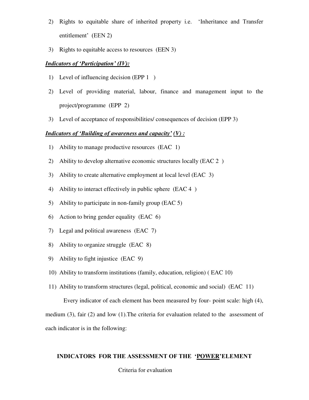- 2) Rights to equitable share of inherited property i.e. "Inheritance and Transfer entitlement' (EEN 2)
- 3) Rights to equitable access to resources (EEN 3)

### *Indicators of 'Participation' (IV):*

- 1) Level of influencing decision (EPP 1 )
- 2) Level of providing material, labour, finance and management input to the project/programme (EPP 2)
- 3) Level of acceptance of responsibilities/ consequences of decision (EPP 3)

### *Indicators of 'Building of awareness and capacity' (V) :*

- 1) Ability to manage productive resources (EAC 1)
- 2) Ability to develop alternative economic structures locally (EAC 2 )
- 3) Ability to create alternative employment at local level (EAC 3)
- 4) Ability to interact effectively in public sphere (EAC 4 )
- 5) Ability to participate in non-family group (EAC 5)
- 6) Action to bring gender equality (EAC 6)
- 7) Legal and political awareness (EAC 7)
- 8) Ability to organize struggle (EAC 8)
- 9) Ability to fight injustice (EAC 9)
- 10) Ability to transform institutions (family, education, religion) ( EAC 10)
- 11) Ability to transform structures (legal, political, economic and social) (EAC 11)

 Every indicator of each element has been measured by four- point scale: high (4), medium (3), fair (2) and low (1).The criteria for evaluation related to the assessment of each indicator is in the following:

### **INDICATORS FOR THE ASSESSMENT OF THE 'POWER'ELEMENT**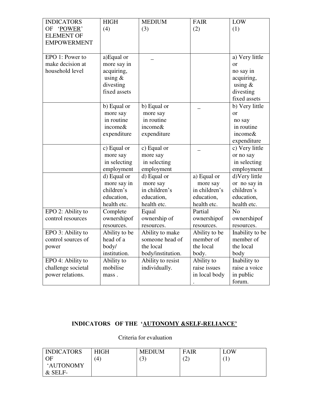| <b>INDICATORS</b>  | <b>HIGH</b>   | <b>MEDIUM</b>     | <b>FAIR</b>   | LOW             |
|--------------------|---------------|-------------------|---------------|-----------------|
| OF 'POWER'         | (4)           | (3)               | (2)           | (1)             |
| <b>ELEMENT OF</b>  |               |                   |               |                 |
| <b>EMPOWERMENT</b> |               |                   |               |                 |
|                    |               |                   |               |                 |
| EPO 1: Power to    | a)Equal or    |                   |               | a) Very little  |
| make decision at   | more say in   |                   |               | <sub>or</sub>   |
| household level    | acquiring,    |                   |               | no say in       |
|                    | using $&$     |                   |               | acquiring,      |
|                    | divesting     |                   |               | using $&$       |
|                    | fixed assets  |                   |               | divesting       |
|                    |               |                   |               | fixed assets    |
|                    | b) Equal or   | b) Equal or       |               | b) Very little  |
|                    | more say      | more say          |               | or              |
|                    | in routine    | in routine        |               | no say          |
|                    | income&       | income&           |               | in routine      |
|                    | expenditure   | expenditure       |               | income&         |
|                    |               |                   |               | expenditure     |
|                    | c) Equal or   | c) Equal or       |               | c) Very little  |
|                    | more say      | more say          |               | or no say       |
|                    | in selecting  | in selecting      |               | in selecting    |
|                    | employment    | employment        |               | employment      |
|                    | d) Equal or   | d) Equal or       | a) Equal or   | d) Very little  |
|                    | more say in   | more say          | more say      | or no say in    |
|                    | children's    | in children's     | in children's | children's      |
|                    | education,    | education,        | education,    | education,      |
|                    | health etc.   | health etc.       | health etc.   | health etc.     |
| EPO 2: Ability to  | Complete      | Equal             | Partial       | N <sub>o</sub>  |
| control resources  | ownershipof   | ownership of      | ownershipof   | ownershipof     |
|                    | resources.    | resources.        | resources.    | resources.      |
| EPO 3: Ability to  | Ability to be | Ability to make   | Ability to be | Inability to be |
| control sources of | head of a     | someone head of   | member of     | member of       |
| power              | body/         | the local         | the local     | the local       |
|                    | institution.  | body/institution. | body.         | body            |
| EPO 4: Ability to  | Ability to    | Ability to resist | Ability to    | Inability to    |
| challenge societal | mobilise      | individually.     | raise issues  | raise a voice   |
| power relations.   | mass.         |                   | in local body | in public       |
|                    |               |                   |               | forum.          |

# **INDICATORS OF THE 'AUTONOMY &SELF-RELIANCE'**

| <b>INDICATORS</b> | <b>HIGH</b> | <b>MEDIUM</b>  | FAIR                     | <b>LOW</b>  |
|-------------------|-------------|----------------|--------------------------|-------------|
| OF                | ΄4          | $\mathfrak{B}$ | $\overline{\phantom{0}}$ | $\mathbf 1$ |
| 'AUTONOMY         |             |                |                          |             |
| $&$ SELF-         |             |                |                          |             |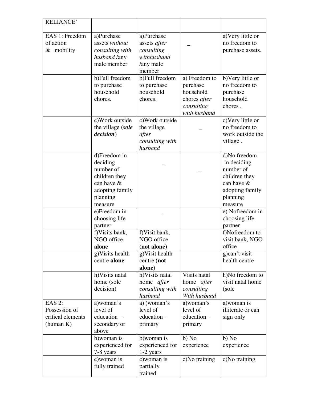| <b>RELIANCE'</b>  |                             |                            |                            |                               |
|-------------------|-----------------------------|----------------------------|----------------------------|-------------------------------|
|                   |                             |                            |                            |                               |
| EAS 1: Freedom    | a)Purchase                  | a)Purchase                 |                            | a) Very little or             |
| of action         | assets without              | assets after               |                            | no freedom to                 |
| $&$ mobility      | consulting with             | consulting                 |                            | purchase assets.              |
|                   | husband /any                | withhusband                |                            |                               |
|                   | male member                 | /any male<br>member        |                            |                               |
|                   | b)Full freedom              | b)Full freedom             | a) Freedom to              | b) Very little or             |
|                   | to purchase                 | to purchase                | purchase                   | no freedom to                 |
|                   | household                   | household                  | household                  | purchase                      |
|                   | chores.                     | chores.                    | chores <i>after</i>        | household                     |
|                   |                             |                            | consulting                 | chores.                       |
|                   |                             |                            | with husband               |                               |
|                   | c) Work outside             | c) Work outside            |                            | c) Very little or             |
|                   | the village (sole           | the village                |                            | no freedom to                 |
|                   | <i>decision</i> )           | after                      |                            | work outside the              |
|                   |                             | consulting with            |                            | village.                      |
|                   |                             | husband                    |                            |                               |
|                   | d)Freedom in                |                            |                            | d)No freedom                  |
|                   | deciding                    |                            |                            | in deciding                   |
|                   | number of                   |                            |                            | number of                     |
|                   | children they<br>can have & |                            |                            | children they                 |
|                   | adopting family             |                            |                            | can have &<br>adopting family |
|                   | planning                    |                            |                            | planning                      |
|                   | measure                     |                            |                            | measure                       |
|                   | e)Freedom in                |                            |                            | e) Nofreedom in               |
|                   | choosing life               |                            |                            | choosing life                 |
|                   | partner                     |                            |                            | partner                       |
|                   | f) Visits bank,             | f) Visit bank,             |                            | f)Nofreedom to                |
|                   | NGO office                  | NGO office                 |                            | visit bank, NGO               |
|                   | alone                       | (not alone)                |                            | office                        |
|                   | g) Visits health            | g) Visit health            |                            | g)can't visit                 |
|                   | centre alone                | centre (not                |                            | health centre                 |
|                   |                             | alone)                     |                            |                               |
|                   | h) Visits natal             | h) Visits natal            | Visits natal               | h)No freedom to               |
|                   | home (sole<br>decision)     | home <i>after</i>          | home after                 | visit natal home<br>(sole     |
|                   |                             | consulting with<br>husband | consulting<br>With husband |                               |
| <b>EAS 2:</b>     | a)woman's                   | a) )woman's                | a)woman's                  | a) woman is                   |
| Possession of     | level of                    | level of                   | level of                   | illiterate or can             |
| critical elements | $education -$               | education -                | education-                 | sign only                     |
| (human K)         | secondary or                | primary                    | primary                    |                               |
|                   | above                       |                            |                            |                               |
|                   | b) woman is                 | b) woman is                | b) No                      | b) No                         |
|                   | experienced for             | experienced for            | experience                 | experience                    |
|                   | 7-8 years                   | 1-2 years                  |                            |                               |
|                   | c) woman is                 | c) woman is                | c)No training              | c)No training                 |
|                   | fully trained               | partially<br>trained       |                            |                               |
|                   |                             |                            |                            |                               |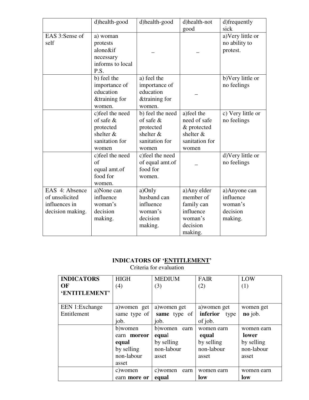|                                                                       | d)health-good                                                                         | d)health-good                                                                           | d)health-not                                                                           | d)frequently                                                |
|-----------------------------------------------------------------------|---------------------------------------------------------------------------------------|-----------------------------------------------------------------------------------------|----------------------------------------------------------------------------------------|-------------------------------------------------------------|
|                                                                       |                                                                                       |                                                                                         | good                                                                                   | sick                                                        |
| EAS 3:Sense of<br>self                                                | a) woman<br>protests<br>alone&if<br>necessary<br>informs to local<br>P.S.             |                                                                                         |                                                                                        | a) Very little or<br>no ability to<br>protest.              |
|                                                                       | b) feel the<br>importance of<br>education<br>&training for<br>women.                  | a) feel the<br>importance of<br>education<br>&training for<br>women.                    |                                                                                        | b) Very little or<br>no feelings                            |
|                                                                       | c) feel the need<br>of safe $\&$<br>protected<br>shelter &<br>sanitation for<br>women | b) feel the need<br>of safe $\&$<br>protected<br>shelter $&$<br>sanitation for<br>women | a) feel the<br>need of safe<br>& protected<br>shelter &<br>sanitation for<br>women     | c) Very little or<br>no feelings                            |
|                                                                       | c)feel the need<br>of<br>equal amt.of<br>food for<br>women.                           | c) feel the need<br>of equal amt.of<br>food for<br>women.                               |                                                                                        | d) Very little or<br>no feelings                            |
| EAS 4: Absence<br>of unsolicited<br>influences in<br>decision making. | a)None can<br>influence<br>woman's<br>decision<br>making.                             | a)Only<br>husband can<br>influence<br>woman's<br>decision<br>making.                    | a) Any elder<br>member of<br>family can<br>influence<br>woman's<br>decision<br>making. | a)Anyone can<br>influence<br>woman's<br>decision<br>making. |

# **INDICATORS OF 'ENTITLEMENT'**

| <b>INDICATORS</b> | <b>HIGH</b>  | <b>MEDIUM</b>    | <b>FAIR</b>      | LOW        |
|-------------------|--------------|------------------|------------------|------------|
| OF                | (4)          | (3)              | (2)              | (1)        |
| 'ENTITLEMENT'     |              |                  |                  |            |
|                   |              |                  |                  |            |
| EEN 1: Exchange   | a) women get | a) women get     | a) women get     | women get  |
| Entitlement       | same type of | same type of     | inferior<br>type | no job.    |
|                   | job.         | job.             | of job.          |            |
|                   | b)women      | b) women earn    | women earn       | women earn |
|                   | earn moreor  | equal            | equal            | lower      |
|                   | equal        | by selling       | by selling       | by selling |
|                   | by selling   | non-labour       | non-labour       | non-labour |
|                   | non-labour   | asset            | asset            | asset      |
|                   | asset        |                  |                  |            |
|                   | c) women     | c) women<br>earn | women earn       | women earn |
|                   | earn more or | equal            | low              | low        |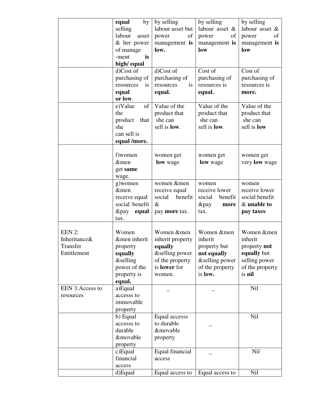|                 | by<br>equal            | by selling           | by selling           | by selling         |
|-----------------|------------------------|----------------------|----------------------|--------------------|
|                 |                        | labour asset but     | labour asset &       | labour asset &     |
|                 | selling                |                      |                      |                    |
|                 | labour<br>asset        | of<br>power          | of<br>power          | of<br>power        |
|                 | $&$ her power          | management is        | management is        | management is      |
|                 | of manage              | low.                 | low                  | low                |
|                 | is<br>-ment            |                      |                      |                    |
|                 | high/equal             |                      |                      |                    |
|                 | d)Cost of              | d)Cost of            | Cost of              | Cost of            |
|                 | purchasing of          | purchasing of        | purchasing of        | purchasing of      |
|                 | resources<br><i>is</i> | resources<br>is      | resources is         | resources is       |
|                 | equal                  | equal.               | equal.               | more.              |
|                 | or low.                |                      |                      |                    |
|                 | e)Value<br>of          | Value of the         | Value of the         | Value of the       |
|                 | the                    | product that         | product that         | product that       |
|                 | product that           | she can              | she can              | she can            |
|                 | she                    | sell is <b>low</b> . | sell is <b>low</b> . | sell is <b>low</b> |
|                 |                        |                      |                      |                    |
|                 | can sell is            |                      |                      |                    |
|                 | equal /more.           |                      |                      |                    |
|                 |                        |                      |                      |                    |
|                 | f)women                | women get            | women get            | women get          |
|                 | &men                   | low wage             | low wage             | very low wage      |
|                 | get same               |                      |                      |                    |
|                 | wage.                  |                      |                      |                    |
|                 | g)women                | women &men           | women                | women              |
|                 | &men                   | receive equal        | receive lower        | receive lower      |
|                 | receive equal          | social<br>benefit    | social<br>benefit    | social benefit     |
|                 | social benefit         | $\&$                 | $&$ pay<br>more      | & unable to        |
|                 | &pay<br>equal          | pay more tax.        | tax.                 | pay taxes          |
|                 | tax.                   |                      |                      |                    |
|                 |                        |                      |                      |                    |
| EEN 2:          | Women                  | Women &men           | Women &men           | Women &men         |
| Inheritance&    | &men inherit           | inherit property     | inherit              | inherit            |
| Transfer        | property               | equally              | property but         | property not       |
| Entitlement     | equally                | &selling power       | not equally          | equally but        |
|                 | <i>&amp;selling</i>    | of the property      | &selling power       | selling power      |
|                 | power of the           | is lower for         | of the property      | of the property    |
|                 | property is            |                      | is low.              | is nil             |
|                 |                        | women.               |                      |                    |
| EEN 3:Access to | equal.<br>a)Equal      |                      |                      | Nil                |
|                 |                        |                      |                      |                    |
| resources       | accesss to             |                      |                      |                    |
|                 | immovable              |                      |                      |                    |
|                 | property               |                      |                      |                    |
|                 | b) Equal               | Equal accesss        |                      | <b>Nil</b>         |
|                 | accesss to             | to durable           |                      |                    |
|                 | durable                | &movable             |                      |                    |
|                 | &movable               | property             |                      |                    |
|                 | property               |                      |                      |                    |
|                 | c)Equal                | Equal financial      |                      | <b>Nil</b>         |
|                 | financial              | access               |                      |                    |
|                 | access                 |                      |                      |                    |
|                 | d)Equal                | Equal access to      | Equal access to      | Nil                |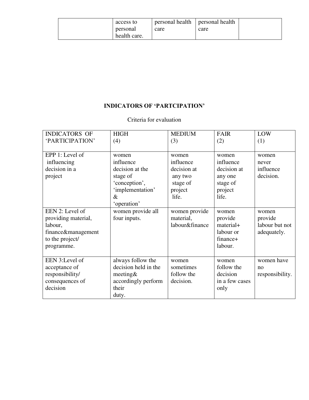| access to    | personal health   personal health |      |  |
|--------------|-----------------------------------|------|--|
| personal     | care                              | care |  |
| health care. |                                   |      |  |

# **INDICATORS OF 'PARTCIPATION'**

| <b>INDICATORS OF</b> | <b>HIGH</b>          | <b>MEDIUM</b>  | <b>FAIR</b>    | LOW             |
|----------------------|----------------------|----------------|----------------|-----------------|
| 'PARTICIPATION'      | (4)                  | (3)            | (2)            | (1)             |
|                      |                      |                |                |                 |
| EPP 1: Level of      | women                | women          | women          | women           |
| influencing          | influence            | influence      | influence      | never           |
| decision in a        | decision at the      | decision at    | decision at    | influence       |
| project              | stage of             | any two        | any one        | decision.       |
|                      | 'conception',        | stage of       | stage of       |                 |
|                      | 'implementation'     | project        | project        |                 |
|                      | $\&$                 | life.          | life.          |                 |
|                      | 'operation'          |                |                |                 |
| EEN 2: Level of      | women provide all    | women provide  | women          | women           |
| providing material,  | four inputs.         | material,      | provide        | provide         |
| labour,              |                      | labour&finance | material+      | labour but not  |
| finance&management   |                      |                | labour or      | adequately.     |
| to the project/      |                      |                | finance+       |                 |
| programme.           |                      |                | labour.        |                 |
|                      |                      |                |                |                 |
| EEN 3:Level of       | always follow the    | women          | women          | women have      |
| acceptance of        | decision held in the | sometimes      | follow the     | no              |
| responsibility/      | meeting $&$          | follow the     | decision       | responsibility. |
| consequences of      | accordingly perform  | decision.      | in a few cases |                 |
| decision             | their                |                | only           |                 |
|                      | duty.                |                |                |                 |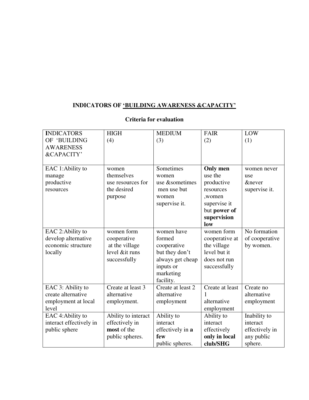# **INDICATORS OF 'BUILDING AWARENESS &CAPACITY'**

| <b>INDICATORS</b>       | <b>HIGH</b>         | <b>MEDIUM</b>     | <b>FAIR</b>     | LOW               |
|-------------------------|---------------------|-------------------|-----------------|-------------------|
| OF 'BUILDING            | (4)                 | (3)               | (2)             | (1)               |
| <b>AWARENESS</b>        |                     |                   |                 |                   |
| &CAPACITY'              |                     |                   |                 |                   |
|                         |                     |                   |                 |                   |
| EAC 1:Ability to        | women               | Sometimes         | <b>Only men</b> | women never       |
| manage                  | themselves          | women             | use the         | use               |
| productive              | use resources for   | use &sometimes    | productive      | <i>&amp;never</i> |
| resources               | the desired         | men use but       | resources       | supervise it.     |
|                         | purpose             | women             | ,women          |                   |
|                         |                     | supervise it.     | supervise it    |                   |
|                         |                     |                   | but power of    |                   |
|                         |                     |                   | supervision     |                   |
|                         |                     |                   | low             |                   |
| EAC 2:Ability to        | women form          | women have        | women form      | No formation      |
| develop alternative     | cooperative         | formed            | cooperative at  | of cooperative    |
| economic structure      | at the village      | cooperative       | the village     | by women.         |
| locally                 | level ⁢ runs        | but they don't    | level but it    |                   |
|                         | successfully        | always get cheap  | does not run    |                   |
|                         |                     | inputs or         | successfully    |                   |
|                         |                     | marketing         |                 |                   |
|                         |                     | facility.         |                 |                   |
| EAC 3: Ability to       | Create at least 3   | Create at least 2 | Create at least | Create no         |
| create alternative      | alternative         | alternative       | 1               | alternative       |
| employment at local     | employment.         | employment        | alternative     | employment        |
| level                   |                     |                   | employment      |                   |
| EAC 4: Ability to       | Ability to interact | Ability to        | Ability to      | Inability to      |
| interact effectively in | effectively in      | interact          | interact        | interact          |
| public sphere           | most of the         | effectively in a  | effectively     | effectively in    |
|                         | public spheres.     | few               | only in local   | any public        |
|                         |                     | public spheres.   | club/SHG        | sphere.           |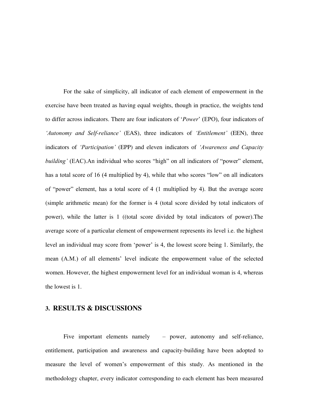For the sake of simplicity, all indicator of each element of empowerment in the exercise have been treated as having equal weights, though in practice, the weights tend to differ across indicators. There are four indicators of "*Power*" (EPO), four indicators of *'Autonomy and Self-reliance'* (EAS), three indicators of *'Entitlement'* (EEN), three indicators of *'Participation'* (EPP) and eleven indicators of *'Awareness and Capacity building'* (EAC).An individual who scores "high" on all indicators of "power" element, has a total score of 16 (4 multiplied by 4), while that who scores "low" on all indicators of "power" element, has a total score of 4 (1 multiplied by 4). But the average score (simple arithmetic mean) for the former is 4 (total score divided by total indicators of power), while the latter is 1 ((total score divided by total indicators of power).The average score of a particular element of empowerment represents its level i.e. the highest level an individual may score from 'power' is 4, the lowest score being 1. Similarly, the mean (A.M.) of all elements" level indicate the empowerment value of the selected women. However, the highest empowerment level for an individual woman is 4, whereas the lowest is 1.

### **3. RESULTS & DISCUSSIONS**

 Five important elements namely – power, autonomy and self-reliance, entitlement, participation and awareness and capacity-building have been adopted to measure the level of women"s empowerment of this study. As mentioned in the methodology chapter, every indicator corresponding to each element has been measured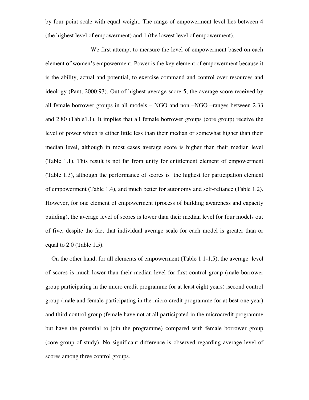by four point scale with equal weight. The range of empowerment level lies between 4 (the highest level of empowerment) and 1 (the lowest level of empowerment).

 We first attempt to measure the level of empowerment based on each element of women"s empowerment. Power is the key element of empowerment because it is the ability, actual and potential, to exercise command and control over resources and ideology (Pant, 2000:93). Out of highest average score 5, the average score received by all female borrower groups in all models – NGO and non –NGO –ranges between 2.33 and 2.80 (Table1.1). It implies that all female borrower groups (core group) receive the level of power which is either little less than their median or somewhat higher than their median level, although in most cases average score is higher than their median level (Table 1.1). This result is not far from unity for entitlement element of empowerment (Table 1.3), although the performance of scores is the highest for participation element of empowerment (Table 1.4), and much better for autonomy and self-reliance (Table 1.2). However, for one element of empowerment (process of building awareness and capacity building), the average level of scores is lower than their median level for four models out of five, despite the fact that individual average scale for each model is greater than or equal to 2.0 (Table 1.5).

 On the other hand, for all elements of empowerment (Table 1.1-1.5), the average level of scores is much lower than their median level for first control group (male borrower group participating in the micro credit programme for at least eight years) ,second control group (male and female participating in the micro credit programme for at best one year) and third control group (female have not at all participated in the microcredit programme but have the potential to join the programme) compared with female borrower group (core group of study). No significant difference is observed regarding average level of scores among three control groups.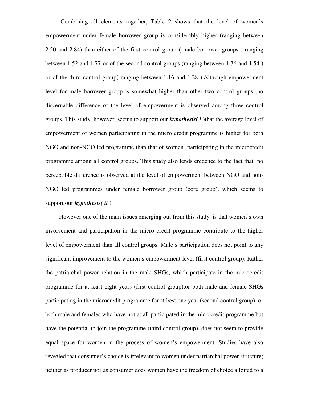Combining all elements together, Table 2 shows that the level of women"s empowerment under female borrower group is considerably higher (ranging between 2.50 and 2.84) than either of the first control group ( male borrower groups )-ranging between 1.52 and 1.77-or of the second control groups (ranging between 1.36 and 1.54 ) or of the third control group( ranging between 1.16 and 1.28 ).Although empowerment level for male borrower group is somewhat higher than other two control groups ,no discernable difference of the level of empowerment is observed among three control groups. This study, however, seems to support our *hypothesis( i* )that the average level of empowerment of women participating in the micro credit programme is higher for both NGO and non-NGO led programme than that of women participating in the microcredit programme among all control groups. This study also lends credence to the fact that no perceptible difference is observed at the level of empowerment between NGO and non-NGO led programmes under female borrower group (core group), which seems to support our *hypothesis( ii* ).

 However one of the main issues emerging out from this study is that women"s own involvement and participation in the micro credit programme contribute to the higher level of empowerment than all control groups. Male"s participation does not point to any significant improvement to the women"s empowerment level (first control group). Rather the patriarchal power relation in the male SHGs, which participate in the microcredit programme for at least eight years (first control group),or both male and female SHGs participating in the microcredit programme for at best one year (second control group), or both male and females who have not at all participated in the microcredit programme but have the potential to join the programme (third control group), does not seem to provide equal space for women in the process of women"s empowerment. Studies have also revealed that consumer"s choice is irrelevant to women under patriarchal power structure; neither as producer nor as consumer does women have the freedom of choice allotted to a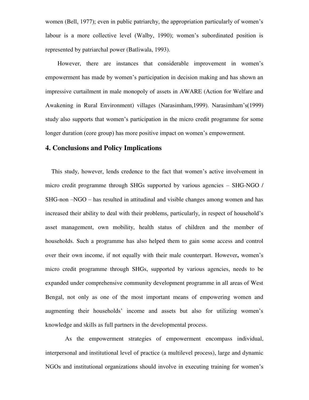women (Bell, 1977); even in public patriarchy, the appropriation particularly of women"s labour is a more collective level (Walby, 1990); women's subordinated position is represented by patriarchal power (Batliwala, 1993).

However, there are instances that considerable improvement in women's empowerment has made by women"s participation in decision making and has shown an impressive curtailment in male monopoly of assets in AWARE (Action for Welfare and Awakening in Rural Environment) villages (Narasimham,1999). Narasimham"s(1999) study also supports that women"s participation in the micro credit programme for some longer duration (core group) has more positive impact on women's empowerment.

# **4. Conclusions and Policy Implications**

 This study, however, lends credence to the fact that women"s active involvement in micro credit programme through SHGs supported by various agencies – SHG-NGO / SHG-non –NGO – has resulted in attitudinal and visible changes among women and has increased their ability to deal with their problems, particularly, in respect of household"s asset management, own mobility, health status of children and the member of households. Such a programme has also helped them to gain some access and control over their own income, if not equally with their male counterpart. However**,** women"s micro credit programme through SHGs, supported by various agencies, needs to be expanded under comprehensive community development programme in all areas of West Bengal, not only as one of the most important means of empowering women and augmenting their households' income and assets but also for utilizing women's knowledge and skills as full partners in the developmental process.

 As the empowerment strategies of empowerment encompass individual, interpersonal and institutional level of practice (a multilevel process), large and dynamic NGOs and institutional organizations should involve in executing training for women"s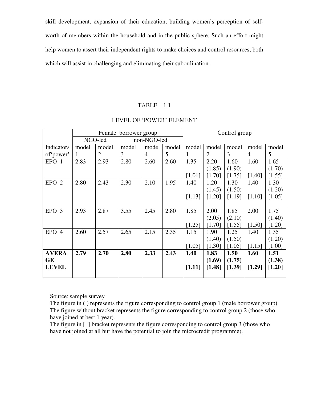skill development, expansion of their education, building women"s perception of selfworth of members within the household and in the public sphere. Such an effort might help women to assert their independent rights to make choices and control resources, both which will assist in challenging and eliminating their subordination.

#### TABLE 1.1

|                  |       |                | Female borrower group |                |       |        | Control group  |        |                |        |
|------------------|-------|----------------|-----------------------|----------------|-------|--------|----------------|--------|----------------|--------|
|                  |       | NGO-led        |                       | non-NGO-led    |       |        |                |        |                |        |
| Indicators       | model | model          | model                 | model          | model | model  | model          | model  | model          | model  |
| of 'power'       | 1     | $\overline{2}$ | 3                     | $\overline{4}$ | 5     | 1      | $\overline{2}$ | 3      | $\overline{4}$ | 5      |
| EPO <sub>1</sub> | 2.83  | 2.93           | 2.80                  | 2.60           | 2.60  | 1.35   | 2.20           | 1.60   | 1.60           | 1.65   |
|                  |       |                |                       |                |       |        | (1.85)         | (1.90) |                | (1.70) |
|                  |       |                |                       |                |       | [1.01] | [1.70]         | [1.75] | [1.40]         | [1.55] |
| EPO <sub>2</sub> | 2.80  | 2.43           | 2.30                  | 2.10           | 1.95  | 1.40   | 1.20           | 1.30   | 1.40           | 1.30   |
|                  |       |                |                       |                |       |        | (1.45)         | (1.50) |                | (1.20) |
|                  |       |                |                       |                |       | [1.13] | [1.20]         | [1.19] | [1.10]         | [1.05] |
|                  |       |                |                       |                |       |        |                |        |                |        |
| EPO <sub>3</sub> | 2.93  | 2.87           | 3.55                  | 2.45           | 2.80  | 1.85   | 2.00           | 1.85   | 2.00           | 1.75   |
|                  |       |                |                       |                |       |        | (2.05)         | (2.10) |                | (1.40) |
|                  |       |                |                       |                |       | [1.25] | [1.70]         | [1.55] | [1.50]         | [1.20] |
| EPO 4            | 2.60  | 2.57           | 2.65                  | 2.15           | 2.35  | 1.15   | 1.90           | 1.25   | 1.40           | 1.35   |
|                  |       |                |                       |                |       |        | (1.40)         | (1.50) |                | (1.20) |
|                  |       |                |                       |                |       | [1.05] | [1.30]         | [1.05] | [1.15]         | [1.00] |
| <b>AVERA</b>     | 2.79  | 2.70           | 2.80                  | 2.33           | 2.43  | 1.40   | 1.83           | 1.50   | 1.60           | 1.51   |
| <b>GE</b>        |       |                |                       |                |       |        | (1.69)         | (1.75) |                | (1.38) |
| <b>LEVEL</b>     |       |                |                       |                |       | [1.11] | [1.48]         | [1.39] | [1.29]         | [1.20] |
|                  |       |                |                       |                |       |        |                |        |                |        |

### LEVEL OF "POWER" ELEMENT

Source: sample survey

 The figure in ( ) represents the figure corresponding to control group 1 (male borrower group**)**  The figure without bracket represents the figure corresponding to control group 2 (those who have joined at best 1 year).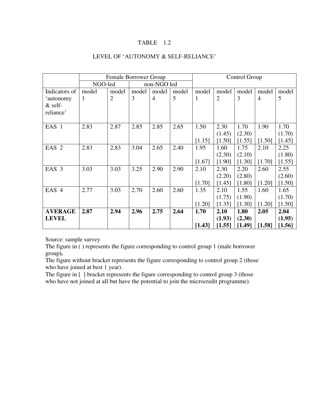### TABLE 1.2

### LEVEL OF 'AUTONOMY & SELF-RELIANCE'

|                  |         | Female Borrower Group |       |                |       | Control Group |                |        |                |        |
|------------------|---------|-----------------------|-------|----------------|-------|---------------|----------------|--------|----------------|--------|
|                  | NGO-led |                       |       | non-NGO led    |       |               |                |        |                |        |
| Indicators of    | model   | model                 | model | model          | model | model         | model          | model  | model          | model  |
| 'autonomy        | 1       | $\overline{2}$        | 3     | $\overline{4}$ | 5     | 1             | $\overline{2}$ | 3      | $\overline{4}$ | 5      |
| $&$ self-        |         |                       |       |                |       |               |                |        |                |        |
| reliance'        |         |                       |       |                |       |               |                |        |                |        |
|                  |         |                       |       |                |       |               |                |        |                |        |
| EAS <sub>1</sub> | 2.83    | 2.87                  | 2.85  | 2.85           | 2.65  | 1.50          | 2.30           | 1.70   | 1.90           | 1.70   |
|                  |         |                       |       |                |       |               | (1.45)         | (2.30) |                | (1.70) |
|                  |         |                       |       |                |       | [1.15]        | [1.50]         | [1.55] | [1.50]         | [1.45] |
| EAS <sub>2</sub> | 2.83    | 2.83                  | 3.04  | 2.65           | 2.40  | 1.95          | 1.60           | 1.75   | 2.10           | 2.25   |
|                  |         |                       |       |                |       |               | (2.30)         | (2.10) |                | (1.80) |
|                  |         |                       |       |                |       | [1.67]        | [1.90]         | [1.30] | [1.70]         | [1.55] |
| EAS <sub>3</sub> | 3.03    | 3.03                  | 3.25  | 2.90           | 2.90  | 2.10          | 2.30           | 2.20   | 2.60           | 2.55   |
|                  |         |                       |       |                |       |               | (2.20)         | (2.80) |                | (2.60) |
|                  |         |                       |       |                |       | [1.70]        | [1.45]         | [1.80] | [1.20]         | [1.50] |
| EAS 4            | 2.77    | 3.03                  | 2.70  | 2.60           | 2.60  | 1.35          | 2.10           | 1.55   | 1.60           | 1.65   |
|                  |         |                       |       |                |       |               | (1.75)         | (1.90) |                | (1.70) |
|                  |         |                       |       |                |       | [1.20]        | [1.35]         | [1.30] | [1.20]         | [1.50] |
| <b>AVERAGE</b>   | 2.87    | 2.94                  | 2.96  | 2.75           | 2.64  | 1.70          | 2.10           | 1.80   | 2.05           | 2.04   |
| <b>LEVEL</b>     |         |                       |       |                |       |               | (1.93)         | (2.30) |                | (1.95) |
|                  |         |                       |       |                |       | [1.43]        | [1.55]         | [1.49] | [1.58]         | [1.56] |

Source: sample survey

The figure in ( ) represents the figure corresponding to control group 1 (male borrower group**).** 

The figure without bracket represents the figure corresponding to control group 2 (those who have joined at best 1 year).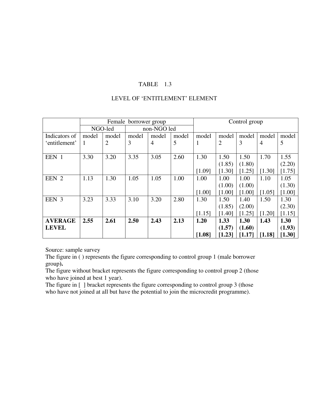### TABLE 1.3

### LEVEL OF "ENTITLEMENT" ELEMENT

|                |       |                | Female borrower group |                |       | Control group |                |        |                |                     |
|----------------|-------|----------------|-----------------------|----------------|-------|---------------|----------------|--------|----------------|---------------------|
|                |       | NGO-led        |                       | non-NGO led    |       |               |                |        |                |                     |
| Indicators of  | model | model          | model                 | model          | model | model         | model          | model  | model          | model               |
| 'entitlement'  | 1     | $\overline{2}$ | 3                     | $\overline{4}$ | 5     | 1             | $\overline{2}$ | 3      | $\overline{4}$ | 5                   |
|                |       |                |                       |                |       |               |                |        |                |                     |
| EEN 1          | 3.30  | 3.20           | 3.35                  | 3.05           | 2.60  | 1.30          | 1.50           | 1.50   | 1.70           | 1.55                |
|                |       |                |                       |                |       |               | (1.85)         | (1.80) |                | (2.20)              |
|                |       |                |                       |                |       | [1.09]        | [1.30]         | [1.25] | [1.30]         | [1.75]              |
| EEN 2          | 1.13  | 1.30           | 1.05                  | 1.05           | 1.00  | 1.00          | 1.00           | 1.00   | 1.10           | 1.05                |
|                |       |                |                       |                |       |               | (1.00)         | (1.00) |                | (1.30)              |
|                |       |                |                       |                |       | [1.00]        | [1.00]         | [1.00] | [1.05]         | [1.00]              |
| EEN 3          | 3.23  | 3.33           | 3.10                  | 3.20           | 2.80  | 1.30          | 1.50           | 1.40   | 1.50           | 1.30                |
|                |       |                |                       |                |       |               | (1.85)         | (2.00) |                | (2.30)              |
|                |       |                |                       |                |       | [1.15]        | [1.40]         | [1.25] | [1.20]         | [1.15]              |
| <b>AVERAGE</b> | 2.55  | 2.61           | 2.50                  | 2.43           | 2.13  | 1.20          | 1.33           | 1.30   | 1.43           | 1.30                |
| <b>LEVEL</b>   |       |                |                       |                |       |               | (1.57)         | (1.60) |                | (1.93)              |
|                |       |                |                       |                |       | [1.08]        | [1.23]         | [1.17] | [1.18]         | $\left[1.30\right]$ |

Source: sample survey

The figure in ( ) represents the figure corresponding to control group 1 (male borrower group**).** 

The figure without bracket represents the figure corresponding to control group 2 (those who have joined at best 1 year).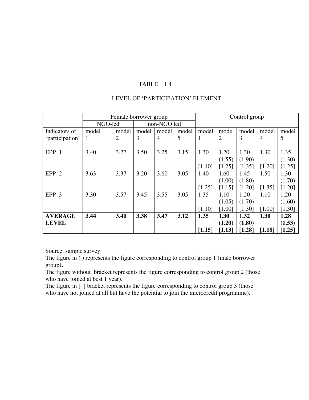### TABLE 1.4

### LEVEL OF "PARTICIPATION" ELEMENT

|                  | Female borrower group |                |             |                |       | Control group |                |        |                |        |
|------------------|-----------------------|----------------|-------------|----------------|-------|---------------|----------------|--------|----------------|--------|
|                  | NGO-led               |                | non-NGO led |                |       |               |                |        |                |        |
| Indicators of    | model                 | model          | model       | model          | model | model         | model          | model  | model          | model  |
| 'participation'  | -1                    | $\overline{2}$ | 3           | $\overline{4}$ | 5     | 1             | $\overline{2}$ | 3      | $\overline{4}$ | 5      |
|                  |                       |                |             |                |       |               |                |        |                |        |
| EPP 1            | 3.40                  | 3.27           | 3.50        | 3.25           | 3.15  | 1.30          | 1.20           | 1.30   | 1.30           | 1.35   |
|                  |                       |                |             |                |       |               | (1.55)         | (1.90) |                | (1.30) |
|                  |                       |                |             |                |       | [1.10]        | [1.25]         | [1.35] | [1.20]         | [1.25] |
| EPP <sub>2</sub> | 3.63                  | 3.37           | 3.20        | 3.60           | 3.05  | 1.40          | 1.60           | 1.45   | 1.50           | 1.30   |
|                  |                       |                |             |                |       |               | (1.00)         | (1.80) |                | (1.70) |
|                  |                       |                |             |                |       | [1.25]        | [1.15]         | [1.20] | [1.35]         | [1.20] |
| EPP 3            | 3.30                  | 3.57           | 3.45        | 3.55           | 3.05  | 1.35          | 1.10           | 1.20   | 1.10           | 1.20   |
|                  |                       |                |             |                |       |               | (1.05)         | (1.70) |                | (1.60) |
|                  |                       |                |             |                |       | [1.10]        | [1.00]         | [1.30] | [1.00]         | [1.30] |
| <b>AVERAGE</b>   | 3.44                  | 3.40           | 3.38        | 3.47           | 3.12  | 1.35          | 1.30           | 1.32   | 1.30           | 1.28   |
| <b>LEVEL</b>     |                       |                |             |                |       |               | (1.20)         | (1.80) |                | (1.53) |
|                  |                       |                |             |                |       | [1.15]        | [1.13]         | [1.28] | [1.18]         | [1.25] |

Source: sample survey

The figure in ( ) represents the figure corresponding to control group 1 (male borrower group**).** 

The figure without bracket represents the figure corresponding to control group 2 (those who have joined at best 1 year).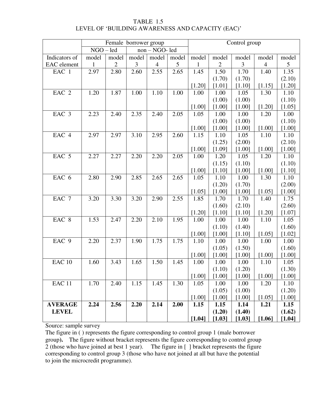### TABLE 1.5 LEVEL OF 'BUILDING AWARENESS AND CAPACITY (EAC)'

|                |             | Female borrower group |                |                |       | Control group |              |          |                |          |  |
|----------------|-------------|-----------------------|----------------|----------------|-------|---------------|--------------|----------|----------------|----------|--|
|                | $NGO - led$ |                       | non - NGO- led |                |       |               |              |          |                |          |  |
| Indicators of  | model       | model                 | model          | model          | model | model         | model        | model    | model          | model    |  |
| EAC element    | 1           | $\mathbf{2}$          | 3              | $\overline{4}$ | 5     | $\mathbf{1}$  | $\mathbf{2}$ | 3        | $\overline{4}$ | 5        |  |
| EAC 1          | 2.97        | 2.80                  | 2.60           | 2.55           | 2.65  | 1.45          | 1.50         | 1.70     | 1.40           | 1.35     |  |
|                |             |                       |                |                |       |               | (1.70)       | (1.70)   |                | (2.10)   |  |
|                |             |                       |                |                |       | [1.20]        | [1.01]       | [1.10]   | [1.15]         | [1.20]   |  |
| EAC 2          | 1.20        | 1.87                  | 1.00           | 1.10           | 1.00  | 1.00          | 1.00         | 1.05     | 1.30           | 1.10     |  |
|                |             |                       |                |                |       |               | (1.00)       | (1.00)   |                | (1.10)   |  |
|                |             |                       |                |                |       | [1.00]        | [1.00]       | [1.00]   | $[1.20]$       | [1.05]   |  |
| EAC 3          | 2.23        | 2.40                  | 2.35           | 2.40           | 2.05  | 1.05          | 1.00         | 1.00     | 1.20           | 1.00     |  |
|                |             |                       |                |                |       |               | (1.00)       | (1.00)   |                | (1.10)   |  |
|                |             |                       |                |                |       | [1.00]        | [1.00]       | [1.00]   | [1.00]         | $[1.00]$ |  |
| EAC 4          | 2.97        | 2.97                  | 3.10           | 2.95           | 2.60  | 1.15          | 1.10         | 1.05     | 1.10           | 1.10     |  |
|                |             |                       |                |                |       |               | (1.25)       | (2.00)   |                | (2.10)   |  |
|                |             |                       |                |                |       | [1.00]        | [1.09]       | [1.00]   | $[1.00]$       | $[1.00]$ |  |
| EAC 5          | 2.27        | 2.27                  | 2.20           | 2.20           | 2.05  | 1.00          | 1.20         | 1.05     | 1.20           | 1.10     |  |
|                |             |                       |                |                |       |               | (1.15)       | (1.10)   |                | (1.10)   |  |
|                |             |                       |                |                |       | [1.00]        | [1.10]       | [1.00]   | $[1.00]$       | [1.10]   |  |
| EAC 6          | 2.80        | 2.90                  | 2.85           | 2.65           | 2.65  | 1.05          | 1.10         | 1.00     | 1.30           | 1.10     |  |
|                |             |                       |                |                |       |               | (1.20)       | (1.70)   |                | (2.00)   |  |
|                |             |                       |                |                |       | [1.05]        | $[1.00]$     | $[1.00]$ | [1.05]         | $[1.00]$ |  |
| EAC 7          | 3.20        | 3.30                  | 3.20           | 2.90           | 2.55  | 1.85          | 1.70         | 1.70     | 1.40           | 1.75     |  |
|                |             |                       |                |                |       |               | (1.60)       | (2.10)   |                | (2.60)   |  |
|                |             |                       |                |                |       | [1.20]        | [1.10]       | [1.10]   | [1.20]         | [1.07]   |  |
| EAC 8          | 1.53        | 2.47                  | 2.20           | 2.10           | 1.95  | 1.00          | 1.00         | 1.00     | 1.10           | 1.05     |  |
|                |             |                       |                |                |       |               | (1.10)       | (1.40)   |                | (1.60)   |  |
|                |             |                       |                |                |       | [1.00]        | [1.00]       | [1.10]   | [1.05]         | [1.02]   |  |
| EAC 9          | 2.20        | 2.37                  | 1.90           | 1.75           | 1.75  | 1.10          | 1.00         | 1.00     | 1.00           | 1.00     |  |
|                |             |                       |                |                |       |               | (1.05)       | (1.50)   |                | (1.60)   |  |
|                |             |                       |                |                |       | [1.00]        | $[1.00]$     | [1.00]   | [1.00]         | $[1.00]$ |  |
| <b>EAC 10</b>  | 1.60        | 3.43                  | 1.65           | 1.50           | 1.45  | 1.00          | 1.00         | 1.00     | 1.10           | 1.05     |  |
|                |             |                       |                |                |       |               | (1.10)       | (1.20)   |                | (1.30)   |  |
|                |             |                       |                |                |       | [1.00]        | $[1.00]$     | [1.00]   | $[1.00]$       | $[1.00]$ |  |
| <b>EAC 11</b>  | 1.70        | 2.40                  | 1.15           | 1.45           | 1.30  | 1.05          | 1.00         | 1.00     | 1.20           | 1.10     |  |
|                |             |                       |                |                |       |               | (1.05)       | (1.00)   |                | (1.20)   |  |
|                |             |                       |                |                |       | [1.00]        | $[1.00]$     | $[1.00]$ | [1.05]         | [1.00]   |  |
| <b>AVERAGE</b> | 2.24        | 2.56                  | 2.20           | 2.14           | 2.00  | 1.15          | 1.15         | 1.14     | 1.21           | 1.15     |  |
| <b>LEVEL</b>   |             |                       |                |                |       |               | (1.20)       | (1.40)   |                | (1.62)   |  |
|                |             |                       |                |                |       | [1.04]        | [1.03]       | [1.03]   | [1.06]         | [1.04]   |  |

Source: sample survey

The figure in ( ) represents the figure corresponding to control group 1 (male borrower group**).** The figure without bracket represents the figure corresponding to control group 2 (those who have joined at best 1 year). The figure in [ ] bracket represents the figure corresponding to control group 3 (those who have not joined at all but have the potential to join the microcredit programme).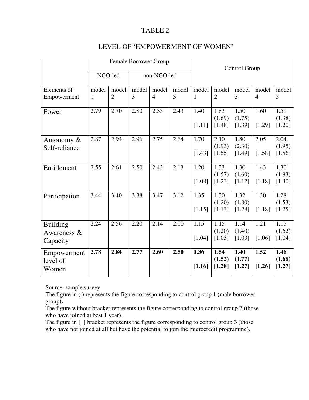# TABLE 2

|  |  | LEVEL OF 'EMPOWERMENT OF WOMEN' |
|--|--|---------------------------------|
|--|--|---------------------------------|

|                 | Female Borrower Group |                |             |                |       | Control Group |                  |                  |                |                  |
|-----------------|-----------------------|----------------|-------------|----------------|-------|---------------|------------------|------------------|----------------|------------------|
|                 | NGO-led               |                | non-NGO-led |                |       |               |                  |                  |                |                  |
| Elements of     | model                 | model          | model       | model          | model | model         | model            | model            | model          | model            |
| Empowerment     | $\mathbf{1}$          | $\overline{2}$ | 3           | $\overline{4}$ | 5     | $\mathbf{1}$  | $\overline{2}$   | 3                | $\overline{4}$ | 5                |
| Power           | 2.79                  | 2.70           | 2.80        | 2.33           | 2.43  | 1.40          | 1.83             | 1.50             | 1.60           | 1.51             |
|                 |                       |                |             |                |       | [1.11]        | (1.69)<br>[1.48] | (1.75)<br>[1.39] | [1.29]         | (1.38)<br>[1.20] |
| Autonomy $\&$   | 2.87                  | 2.94           | 2.96        | 2.75           | 2.64  | 1.70          | 2.10             | 1.80             | 2.05           | 2.04             |
| Self-reliance   |                       |                |             |                |       |               | (1.93)           | (2.30)           |                | (1.95)           |
|                 |                       |                |             |                |       | [1.43]        | [1.55]           | [1.49]           | [1.58]         | [1.56]           |
| Entitlement     | 2.55                  | 2.61           | 2.50        | 2.43           | 2.13  | 1.20          | 1.33             | 1.30             | 1.43           | 1.30             |
|                 |                       |                |             |                |       |               | (1.57)           | (1.60)           |                | (1.93)           |
|                 |                       |                |             |                |       | [1.08]        | [1.23]           | [1.17]           | [1.18]         | [1.30]           |
| Participation   | 3.44                  | 3.40           | 3.38        | 3.47           | 3.12  | 1.35          | 1.30             | 1.32             | 1.30           | 1.28             |
|                 |                       |                |             |                |       |               | (1.20)           | (1.80)           |                | (1.53)           |
|                 |                       |                |             |                |       | [1.15]        | [1.13]           | [1.28]           | [1.18]         | [1.25]           |
| <b>Building</b> | 2.24                  | 2.56           | 2.20        | 2.14           | 2.00  | 1.15          | 1.15             | 1.14             | 1.21           | 1.15             |
| Awareness $\&$  |                       |                |             |                |       |               | (1.20)           | (1.40)           |                | (1.62)           |
| Capacity        |                       |                |             |                |       | [1.04]        | [1.03]           | [1.03]           | [1.06]         | [1.04]           |
| Empowerment     | 2.78                  | 2.84           | 2.77        | 2.60           | 2.50  | 1.36          | 1.54             | 1.40             | 1.52           | 1.46             |
| level of        |                       |                |             |                |       |               | (1.52)           | (1.77)           |                | (1.68)           |
| Women           |                       |                |             |                |       | [1.16]        | [1.28]           | [1.27]           | [1.26]         | [1.27]           |

Source: sample survey

The figure in ( ) represents the figure corresponding to control group 1 (male borrower group**).** 

The figure without bracket represents the figure corresponding to control group 2 (those who have joined at best 1 year).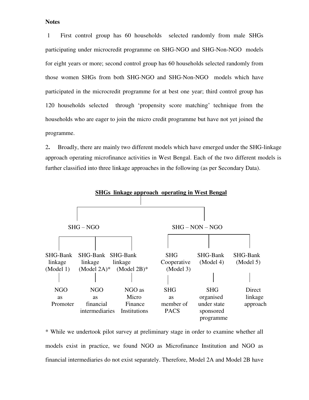#### **Notes**

1 First control group has 60 households selected randomly from male SHGs participating under microcredit programme on SHG-NGO and SHG-Non-NGO models for eight years or more; second control group has 60 households selected randomly from those women SHGs from both SHG-NGO and SHG-Non-NGO models which have participated in the microcredit programme for at best one year; third control group has 120 households selected through "propensity score matching" technique from the households who are eager to join the micro credit programme but have not yet joined the programme.

2**.** Broadly, there are mainly two different models which have emerged under the SHG-linkage approach operating microfinance activities in West Bengal. Each of the two different models is further classified into three linkage approaches in the following (as per Secondary Data).



\* While we undertook pilot survey at preliminary stage in order to examine whether all models exist in practice, we found NGO as Microfinance Institution and NGO as financial intermediaries do not exist separately. Therefore, Model 2A and Model 2B have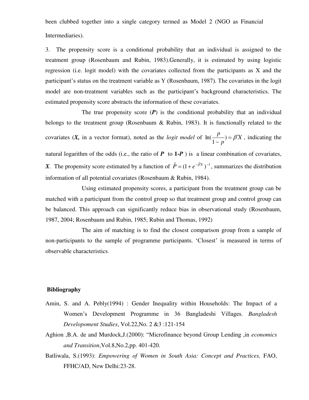been clubbed together into a single category termed as Model 2 (NGO as Financial Intermediaries).

3. The propensity score is a conditional probability that an individual is assigned to the treatment group (Rosenbaum and Rubin, 1983).Generally, it is estimated by using logistic regression (i.e. logit model) with the covariates collected from the participants as X and the participant's status on the treatment variable as Y (Rosenbaum, 1987). The covariates in the logit model are non-treatment variables such as the participant's background characteristics. The estimated propensity score abstracts the information of these covariates.

The true propensity score  $(P)$  is the conditional probability that an individual belongs to the treatment group (Rosenbaum & Rubin, 1983). It is functionally related to the covariates (*X*, in a vector format), noted as the *logit model* of  $\ln(\frac{P}{1}) = \beta'X$ *p*  $\frac{p}{p}$  =  $\beta'$ -) 1  $\ln(\frac{P}{1}) = \beta' X$ , indicating the natural logarithm of the odds (i.e., the ratio of  $P$  to  $1-P$ ) is a linear combination of covariates, *X*. The propensity score estimated by a function of  $\hat{P} = (1 + e^{-\hat{\beta}X})^{-1}$ , summarizes the distribution information of all potential covariates (Rosenbaum & Rubin, 1984).

Using estimated propensity scores, a participant from the treatment group can be matched with a participant from the control group so that treatment group and control group can be balanced. This approach can significantly reduce bias in observational study (Rosenbaum, 1987, 2004; Rosenbaum and Rubin, 1985; Rubin and Thomas, 1992)

The aim of matching is to find the closest comparison group from a sample of non-participants to the sample of programme participants. 'Closest' is measured in terms of observable characteristics.

### **Bibliography**

- Amin, S. and A. Pebly(1994) : Gender Inequality within Households: The Impact of a Women"s Development Programme in 36 Bangladeshi Villages. *Bangladesh Developoment Studies*, Vol.22,No. 2 &3 :121-154
- Aghion ,B.A. de and Murdock,J.(2000): "Microfinance beyond Group Lending ,in *economics and Transition*,Vol.8,No.2,pp. 401-420.
- Batliwala, S.(1993): *Empowering of Women in South Asia: Concept and Practices,* FAO, FFHC/AD, New Delhi:23-28.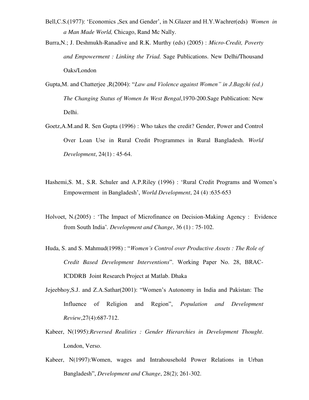Bell, C.S.(1977): 'Economics , Sex and Gender', in N.Glazer and H.Y.Wachrer(eds) *Women in a Man Made World,* Chicago, Rand Mc Nally.

Burra,N.; J. Deshmukh-Ranadive and R.K. Murthy (eds) (2005) : *Micro-Credit, Poverty and Empowerment : Linking the Triad.* Sage Publications. New Delhi/Thousand Oaks/London

- Gupta,M. and Chatterjee ,R(2004): "*Law and Violence against Women" in J.Bagchi (ed.) The Changing Status of Women In West Bengal*,1970-200.Sage Publication: New Delhi.
- Goetz,A.M.and R. Sen Gupta (1996) : Who takes the credit? Gender, Power and Control Over Loan Use in Rural Credit Programmes in Rural Bangladesh. *World Development*, 24(1) : 45-64.
- Hashemi, S. M., S.R. Schuler and A.P. Riley (1996) : 'Rural Credit Programs and Women's Empowerment in Bangladesh", *World Development*, 24 (4) :635-653
- Holvoet, N.(2005) : "The Impact of Microfinance on Decision-Making Agency : Evidence from South India"*. Development and Change*, 36 (1) : 75-102.
- Huda, S. and S. Mahmud(1998) : "*Women's Control over Productive Assets : The Role of Credit Based Development Interventions*". Working Paper No. 28, BRAC-ICDDRB Joint Research Project at Matlab. Dhaka
- Jejeebhoy,S.J. and Z.A.Sathar(2001): "Women"s Autonomy in India and Pakistan: The Influence of Religion and Region", *Population and Development Review*,27(4):687-712.
- Kabeer, N(1995):*Reversed Realities : Gender Hierarchies in Development Thought*. London, Verso.
- Kabeer, N(1997):Women, wages and Intrahousehold Power Relations in Urban Bangladesh", *Development and Change*, 28(2); 261-302.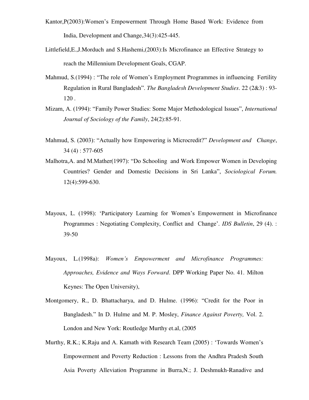- Kantor,P(2003):Women"s Empowerment Through Home Based Work: Evidence from India, Development and Change,34(3):425-445.
- Littlefield,E.,J.Morduch and S.Hashemi,(2003):Is Microfinance an Effective Strategy to reach the Millennium Development Goals, CGAP.
- Mahmud, S.(1994) : "The role of Women"s Employment Programmes in influencing Fertility Regulation in Rural Bangladesh". *The Bangladesh Development Studies*. 22 (2&3) : 93- 120 .
- Mizam, A. (1994): "Family Power Studies: Some Major Methodological Issues", *International Journal of Sociology of the Family*, 24(2):85-91.
- Mahmud, S. (2003): "Actually how Empowering is Microcredit?" *Development and Change*, 34 (4) : 577-605
- Malhotra,A. and M.Mather(1997): "Do Schooling and Work Empower Women in Developing Countries? Gender and Domestic Decisions in Sri Lanka", *Sociological Forum.* 12(4):599-630.
- Mayoux, L. (1998): "Participatory Learning for Women"s Empowerment in Microfinance Programmes : Negotiating Complexity, Conflict and Change'. *IDS Bulletin*, 29 (4). : 39-50
- Mayoux, L.(1998a): *Women's Empowerment and Microfinance Programmes: Approaches, Evidence and Ways Forward*. DPP Working Paper No. 41. Milton Keynes: The Open University),
- Montgomery, R., D. Bhattacharya, and D. Hulme. (1996): "Credit for the Poor in Bangladesh." In D. Hulme and M. P. Mosley, *Finance Against Poverty,* Vol. 2. London and New York: Routledge Murthy et.al, (2005
- Murthy, R.K.; K.Raju and A. Kamath with Research Team (2005) : "Towards Women"s Empowerment and Poverty Reduction : Lessons from the Andhra Pradesh South Asia Poverty Alleviation Programme in Burra,N.; J. Deshmukh-Ranadive and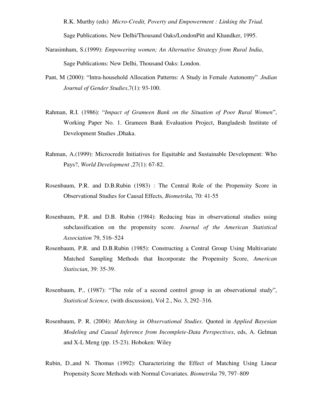R.K. Murthy (eds) *Micro-Credit, Poverty and Empowerment : Linking the Triad.*

Sage Publications. New Delhi/Thousand Oaks/LondonPitt and Khandker, 1995.

- Narasimham, S.(1999): *Empowering women; An Alternative Strategy from Rural India*, Sage Publications: New Delhi, Thousand Oaks: London.
- Pant, M (2000): "Intra-household Allocation Patterns: A Study in Female Autonomy" .*Indian Journal of Gender Studies*,7(1): 93-100.
- Rahman, R.I. (1986): "*Impact of Grameen Bank on the Situation of Poor Rural Women*", Working Paper No. 1. Grameen Bank Evaluation Project, Bangladesh Institute of Development Studies ,Dhaka.
- Rahman, A.(1999): Microcredit Initiatives for Equitable and Sustainable Development: Who Pays?, *World Development* ,27(1): 67-82.
- Rosenbaum, P.R. and D.B.Rubin (1983) : The Central Role of the Propensity Score in Observational Studies for Causal Effects, *Biometrika,* 70: 41-55
- Rosenbaum, P.R. and D.B. Rubin (1984): Reducing bias in observational studies using subclassification on the propensity score. *Journal of the American Statistical Association* 79, 516–524
- Rosenbaum, P.R. and D.B.Rubin (1985): Constructing a Central Group Using Multivariate Matched Sampling Methods that Incorporate the Propensity Score, *American Statiscian*, 39: 35-39.
- Rosenbaum, P., (1987): "The role of a second control group in an observational study", *Statistical Science,* (with discussion), Vol 2., No. 3, 292–316.
- Rosenbaum, P. R. (2004): *Matching in Observational Studies*. Quoted in *Applied Bayesian Modeling and Causal Inference from Incomplete-Data Perspectives*, eds, A. Gelman and X-L Meng (pp. 15-23). Hoboken: Wiley
- Rubin, D.,and N. Thomas (1992): Characterizing the Effect of Matching Using Linear Propensity Score Methods with Normal Covariates. *Biometrika* 79, 797–809